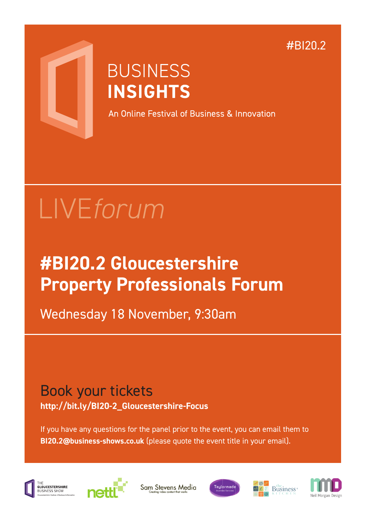#BI20.2



## **BUSINESS INSIGHTS**

An Online Festival of Business & Innovation

# LIVE*forum*

## **#BI20.2 Gloucestershire Property Professionals Forum**

Wednesday 18 November, 9:30am

### Book your tickets **http://bit.ly/BI20-2\_Gloucestershire-Focus**

If you have any questions for the panel prior to the event, you can email them to **BI20.2@business-shows.co.uk** (please quote the event title in your email).



...<br>GLOUCESTERSHIRE



Sam Stevens Media